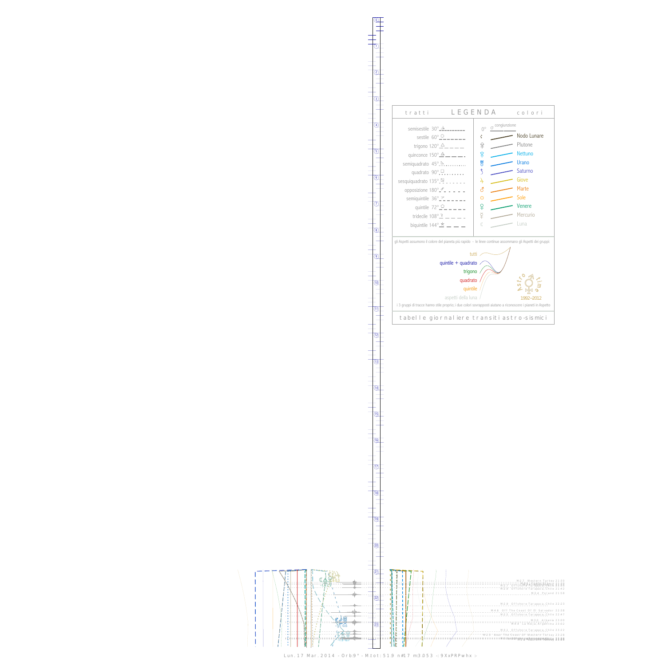$\begin{array}{c} \begin{array}{c} \begin{array}{c} \text{1} \\ \text{1} \\ \text{1} \\ \text{1} \\ \text{1} \\ \text{1} \\ \end{array} \end{array} \\ \begin{array}{c} \begin{array}{c} \text{1} \\ \text{1} \\ \text{1} \\ \text{1} \\ \text{1} \\ \end{array} \end{array} \\ \begin{array}{c} \begin{array}{c} \text{1} \\ \text{1} \\ \text{1} \\ \text{1} \\ \text{1} \\ \end{array} \end{array} \end{array}$